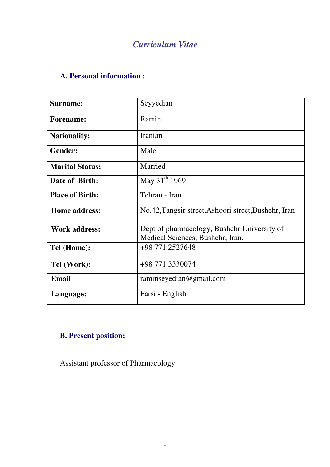# *Curriculum Vitae*

### **A. Personal information :**

| Surname:               | Seyyedian                                                                       |
|------------------------|---------------------------------------------------------------------------------|
| <b>Forename:</b>       | Ramin                                                                           |
| <b>Nationality:</b>    | <b>Iranian</b>                                                                  |
| <b>Gender:</b>         | Male                                                                            |
| <b>Marital Status:</b> | Married                                                                         |
| Date of Birth:         | May 31 <sup>th</sup> 1969                                                       |
| <b>Place of Birth:</b> | Tehran - Iran                                                                   |
| <b>Home address:</b>   | No.42, Tangsir street, Ashoori street, Bushehr, Iran                            |
| <b>Work address:</b>   | Dept of pharmacology, Bushehr University of<br>Medical Sciences, Bushehr, Iran. |
| Tel (Home):            | +98 771 2527648                                                                 |
| Tel (Work):            | +98 771 3330074                                                                 |
| Email:                 | raminseyedian@gmail.com                                                         |
| Language:              | Farsi - English                                                                 |

# **B. Present position:**

Assistant professor of Pharmacology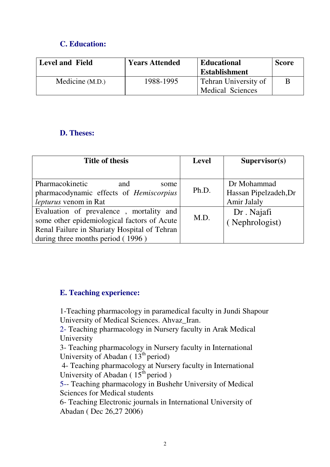### **C. Education:**

| <b>Level and Field</b> | <b>Years Attended</b> | <b>Educational</b>                                     | <b>Score</b> |
|------------------------|-----------------------|--------------------------------------------------------|--------------|
|                        |                       | <b>Establishment</b>                                   |              |
| Medicine (M.D.)        | 1988-1995             | <b>Tehran University of</b><br><b>Medical Sciences</b> | B            |

#### **D. Theses:**

| <b>Title of thesis</b>                       | <b>Level</b> | Supervisor(s)         |
|----------------------------------------------|--------------|-----------------------|
|                                              |              |                       |
| Pharmacokinetic<br>and<br>some               |              | Dr Mohammad           |
| pharmacodynamic effects of Hemiscorpius      | Ph.D.        | Hassan Pipelzadeh, Dr |
| <i>lepturus</i> venom in Rat                 |              | Amir Jalaly           |
| Evaluation of prevalence, mortality and      | M.D.         | Dr. Najafi            |
| some other epidemiological factors of Acute  |              | (Nephrologist)        |
| Renal Failure in Shariaty Hospital of Tehran |              |                       |
| during three months period (1996)            |              |                       |

#### **E. Teaching experience:**

1-Teaching pharmacology in paramedical faculty in Jundi Shapour University of Medical Sciences. Ahvaz\_Iran.

2- Teaching pharmacology in Nursery faculty in Arak Medical University

3- Teaching pharmacology in Nursery faculty in International University of Abadan  $(13<sup>th</sup>$  period)

 4- Teaching pharmacology at Nursery faculty in International University of Abadan  $(15<sup>th</sup>$  period )

5-- Teaching pharmacology in Bushehr University of Medical Sciences for Medical students

6- Teaching Electronic journals in International University of Abadan ( Dec 26,27 2006)